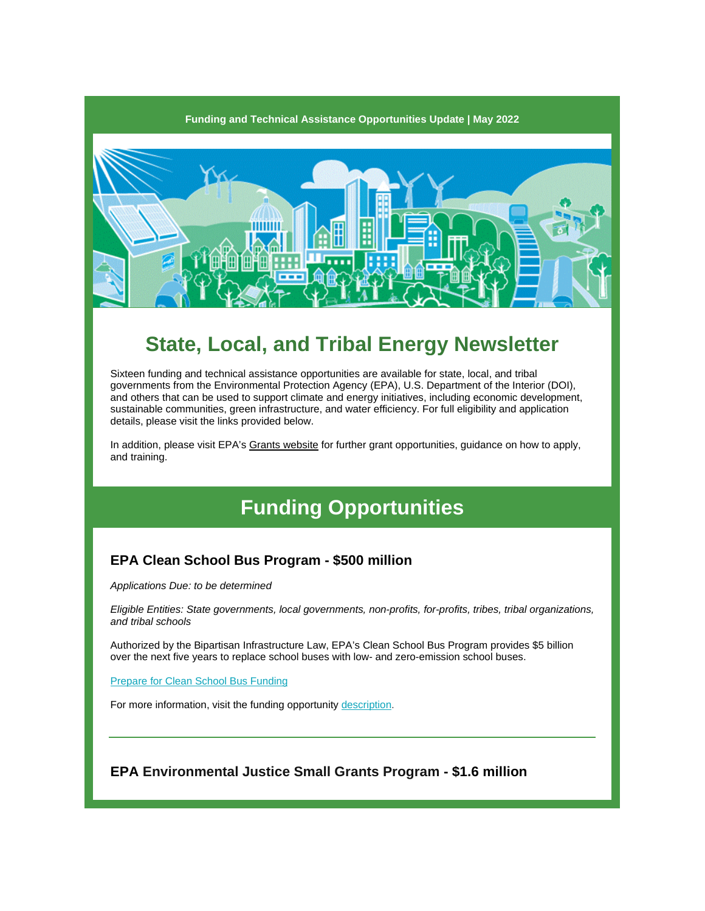

# **State, Local, and Tribal Energy Newsletter**

Sixteen funding and technical assistance opportunities are available for state, local, and tribal governments from the Environmental Protection Agency (EPA), U.S. Department of the Interior (DOI), and others that can be used to support climate and energy initiatives, including economic development, sustainable communities, green infrastructure, and water efficiency. For full eligibility and application details, please visit the links provided below.

In addition, please visit EPA'[s Grants website](https://r20.rs6.net/tn.jsp?f=001Czi55uih8Tk_vZmraMV531Jb7dR7c8IA6OhSpBF5SB2sK6mWyZIUVnfDFzlIi9VzrkKPtbmKF1zf0cvpiNsZTXVnoQ6uZbL5hGwMVnak9S0OmqelGGST3P9nk2mMJ-WIYR5Y9v_16znM6y1yNBxAnw==&c=x6X-IuGxUcKk3IpT07XpuKISnaMPqVwi8At76TboAqeG9MhvbpPKNA==&ch=RagGNtJJzwMwh9FkHaIRSFXvachGWHVHlW9gKLFwMxbqLG1FgQ_9vg==) for further grant opportunities, guidance on how to apply, and training.

# **Funding Opportunities**

# **EPA Clean School Bus Program - \$500 million**

*Applications Due: to be determined*

*Eligible Entities: State governments, local governments, non-profits, for-profits, tribes, tribal organizations, and tribal schools*

Authorized by the Bipartisan Infrastructure Law, EPA's Clean School Bus Program provides \$5 billion over the next five years to replace school buses with low- and zero-emission school buses.

**[Prepare for Clean School Bus Funding](https://r20.rs6.net/tn.jsp?f=001Czi55uih8Tk_vZmraMV531Jb7dR7c8IA6OhSpBF5SB2sK6mWyZIUVl3fe5FI-jpJzOv7dR1ZTH1-Kf1PzytmhTK-1Kr5qRjEzizDb6lvLqbe4LIiEW_CPAvAwE8JzVe_tyukUb1mt11cBBwfa31eq1srW2zpLJX5GV6mnEVU8vOi7c3ESccwPT-rIGvHAAxLqKU8xMqgc90=&c=x6X-IuGxUcKk3IpT07XpuKISnaMPqVwi8At76TboAqeG9MhvbpPKNA==&ch=RagGNtJJzwMwh9FkHaIRSFXvachGWHVHlW9gKLFwMxbqLG1FgQ_9vg==)** 

For more information, visit the funding opportunit[y description.](https://r20.rs6.net/tn.jsp?f=001Czi55uih8Tk_vZmraMV531Jb7dR7c8IA6OhSpBF5SB2sK6mWyZIUVvRp_JFCiw3QcA7my70SL4NNIZ0IeeNAESLobWMwCCBjsdvWLLq5xuGjo4gxee2I0dx3U05uEZsWLKLzYBjkcZbZVh4TAhsr6HmY_N-xOiis&c=x6X-IuGxUcKk3IpT07XpuKISnaMPqVwi8At76TboAqeG9MhvbpPKNA==&ch=RagGNtJJzwMwh9FkHaIRSFXvachGWHVHlW9gKLFwMxbqLG1FgQ_9vg==)

**EPA Environmental Justice Small Grants Program - \$1.6 million**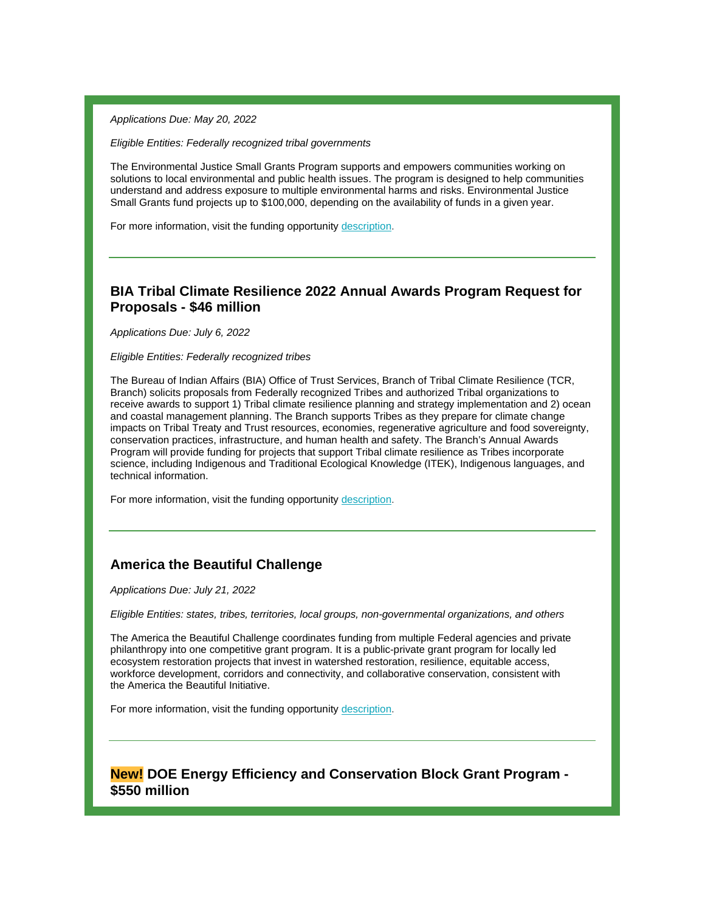*Applications Due: May 20, 2022*

*Eligible Entities: Federally recognized tribal governments*

The Environmental Justice Small Grants Program supports and empowers communities working on solutions to local environmental and public health issues. The program is designed to help communities understand and address exposure to multiple environmental harms and risks. Environmental Justice Small Grants fund projects up to \$100,000, depending on the availability of funds in a given year.

For more information, visit the funding opportunit[y description.](https://r20.rs6.net/tn.jsp?f=001Czi55uih8Tk_vZmraMV531Jb7dR7c8IA6OhSpBF5SB2sK6mWyZIUVlis9rbiD_Qd8mPZ93jQkHI9FnK0ZE-COU24vrZikgHNhcc5M_jzZiThnRGpdaDZg4L5hVA3Q-mL3YWhXDfK0zloJBezl0VmOzZpmgpmClp-LRoYCQRyQs8vqwMx3Uz0vFA0C2ESId_h0p-4DvaXiyEgMs4QuFmLlA==&c=x6X-IuGxUcKk3IpT07XpuKISnaMPqVwi8At76TboAqeG9MhvbpPKNA==&ch=RagGNtJJzwMwh9FkHaIRSFXvachGWHVHlW9gKLFwMxbqLG1FgQ_9vg==)

# **BIA Tribal Climate Resilience 2022 Annual Awards Program Request for Proposals - \$46 million**

*Applications Due: July 6, 2022*

*Eligible Entities: Federally recognized tribes*

The Bureau of Indian Affairs (BIA) Office of Trust Services, Branch of Tribal Climate Resilience (TCR, Branch) solicits proposals from Federally recognized Tribes and authorized Tribal organizations to receive awards to support 1) Tribal climate resilience planning and strategy implementation and 2) ocean and coastal management planning. The Branch supports Tribes as they prepare for climate change impacts on Tribal Treaty and Trust resources, economies, regenerative agriculture and food sovereignty, conservation practices, infrastructure, and human health and safety. The Branch's Annual Awards Program will provide funding for projects that support Tribal climate resilience as Tribes incorporate science, including Indigenous and Traditional Ecological Knowledge (ITEK), Indigenous languages, and technical information.

For more information, visit the funding opportunit[y description.](https://r20.rs6.net/tn.jsp?f=001Czi55uih8Tk_vZmraMV531Jb7dR7c8IA6OhSpBF5SB2sK6mWyZIUVlis9rbiD_QdldVIA-7yHXnopdz2USJ9praCpevnuwht_s587GnIOJoYZJiVMW3psXwZ8-IuiGRkpH3WWxGSElRIvz_M-9IVitGvGAhRhD7JyRrauMUrbyMDssdAiTSIyQ==&c=x6X-IuGxUcKk3IpT07XpuKISnaMPqVwi8At76TboAqeG9MhvbpPKNA==&ch=RagGNtJJzwMwh9FkHaIRSFXvachGWHVHlW9gKLFwMxbqLG1FgQ_9vg==)

### **America the Beautiful Challenge**

*Applications Due: July 21, 2022*

*Eligible Entities: states, tribes, territories, local groups, non-governmental organizations, and others*

The America the Beautiful Challenge coordinates funding from multiple Federal agencies and private philanthropy into one competitive grant program. It is a public-private grant program for locally led ecosystem restoration projects that invest in watershed restoration, resilience, equitable access, workforce development, corridors and connectivity, and collaborative conservation, consistent with the [America the Beautiful Initiative.](https://r20.rs6.net/tn.jsp?f=001Czi55uih8Tk_vZmraMV531Jb7dR7c8IA6OhSpBF5SB2sK6mWyZIUVlis9rbiD_QdmF2QUDpu9qK5PyfU8PjakvHoke31noFTRvVgXrlKNV1ezomcOJ2uL-0vpo8Flar4wueVCnFcrp-JPmdC6NHFgSTcWqEepwOQ3Roy6rmtVCc2wfLGkiIAF7Bh_6ztXLDz0GH-4WLNI-bTN-RFwSeLN6JQwRqAY9pjF3Gz-bQ0CWCKCB-2dWT4GwO5bZ3Ao7prZ9YeW_cKeiMTCzXJwmtj4zfUPTQIi9OeuX-xDxwILOk=&c=x6X-IuGxUcKk3IpT07XpuKISnaMPqVwi8At76TboAqeG9MhvbpPKNA==&ch=RagGNtJJzwMwh9FkHaIRSFXvachGWHVHlW9gKLFwMxbqLG1FgQ_9vg==)

For more information, visit the funding opportunit[y description.](https://r20.rs6.net/tn.jsp?f=001Czi55uih8Tk_vZmraMV531Jb7dR7c8IA6OhSpBF5SB2sK6mWyZIUVlis9rbiD_QdTLAG4Wnak30nrf-GEHmQKzyCKnFSeCE3qryYO3S3ts6UNfgF_6T5dtsiop0msEUiX6G7EZc74kwkR1dFwXMGUe9te23uBz0uZhz-nA-T4pY-BNj1i_bGSkDHC7BQlwCN&c=x6X-IuGxUcKk3IpT07XpuKISnaMPqVwi8At76TboAqeG9MhvbpPKNA==&ch=RagGNtJJzwMwh9FkHaIRSFXvachGWHVHlW9gKLFwMxbqLG1FgQ_9vg==)

**New! DOE Energy Efficiency and Conservation Block Grant Program - \$550 million**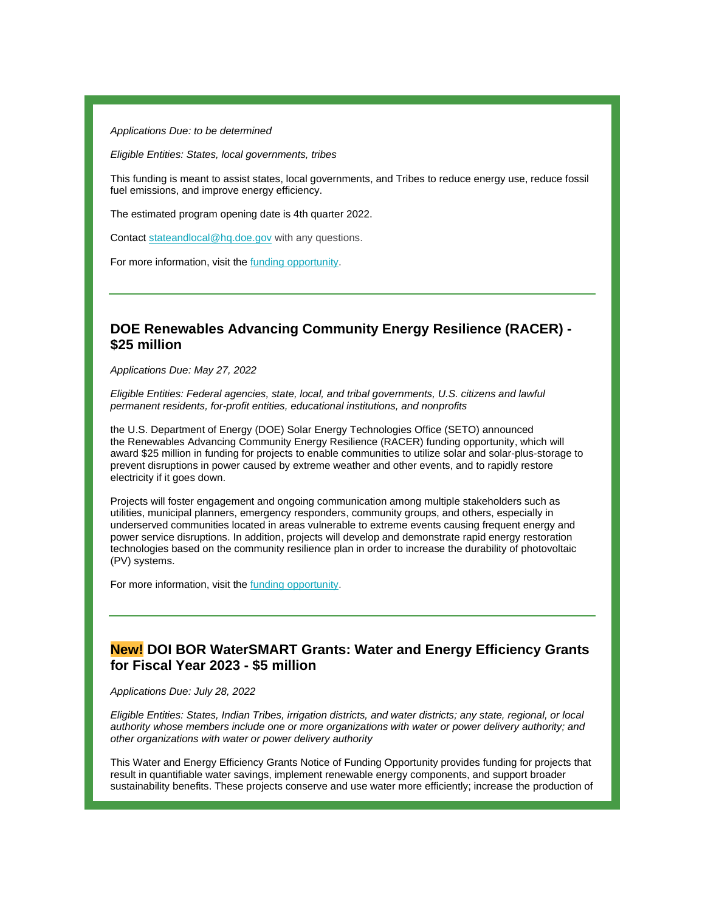*Applications Due: to be determined* 

*Eligible Entities: States, local governments, tribes*

This funding is meant to assist states, local governments, and Tribes to reduce energy use, reduce fossil fuel emissions, and improve energy efficiency.

The estimated program opening date is 4th quarter 2022.

Contact [stateandlocal@hq.doe.gov](mailto:stateandlocal@hq.doe.gov) with any questions.

For more information, visit the funding [opportunity.](https://r20.rs6.net/tn.jsp?f=001Czi55uih8Tk_vZmraMV531Jb7dR7c8IA6OhSpBF5SB2sK6mWyZIUVl3fe5FI-jpJ_1SLkgmGlIaOeGMrB-ga-kxnuebSoPyLUsUNElxgZWPqX-Vy1rmGoV8qIeYttlZEApEyWHcc5Xre44HqoxX2Mip4k_r8uWcoj1N5mgPgVI9qqF-ChHbcp0Q0aL_FopnTkMYfksnURmAMSbBZGj-ZY547Ytnkikh_&c=x6X-IuGxUcKk3IpT07XpuKISnaMPqVwi8At76TboAqeG9MhvbpPKNA==&ch=RagGNtJJzwMwh9FkHaIRSFXvachGWHVHlW9gKLFwMxbqLG1FgQ_9vg==)

# **DOE Renewables Advancing Community Energy Resilience (RACER) - \$25 million**

*Applications Due: May 27, 2022*

*Eligible Entities: Federal agencies, state, local, and tribal governments, U.S. citizens and lawful permanent residents, for-profit entities, educational institutions, and nonprofits*

the U.S. Department of Energy (DOE) Solar Energy Technologies Office (SETO) announced the [Renewables Advancing Community Energy Resilience \(RACER\) funding opportunity,](https://r20.rs6.net/tn.jsp?f=001Czi55uih8Tk_vZmraMV531Jb7dR7c8IA6OhSpBF5SB2sK6mWyZIUVlis9rbiD_QdbFbz97vJ0AQAWPv9Gl16A_Sz2-tFPfb2GqgOcovzyoA2KqLthKsQIjNLQJa6cWpiKSPZhl1yXasQUTLG99DwoqNd9FL6ZZNHvHO5m_LEbEN1WZIA_j4eFes_NGvFQjJ0MdBojwMOTsGRyQSAejKDMHeQaZMEY6cUko7ZyvMXiQE=&c=x6X-IuGxUcKk3IpT07XpuKISnaMPqVwi8At76TboAqeG9MhvbpPKNA==&ch=RagGNtJJzwMwh9FkHaIRSFXvachGWHVHlW9gKLFwMxbqLG1FgQ_9vg==) which will award \$25 million in funding for projects to enable communities to utilize solar and solar-plus-storage to prevent disruptions in power caused by extreme weather and other events, and to rapidly restore electricity if it goes down.

Projects will foster engagement and ongoing communication among multiple stakeholders such as utilities, municipal planners, emergency responders, community groups, and others, especially in underserved communities located in areas vulnerable to extreme events causing frequent energy and power service disruptions. In addition, projects will develop and demonstrate rapid energy restoration technologies based on the community resilience plan in order to increase the durability of photovoltaic (PV) systems.

For more information, visit th[e funding opportunity.](https://r20.rs6.net/tn.jsp?f=001Czi55uih8Tk_vZmraMV531Jb7dR7c8IA6OhSpBF5SB2sK6mWyZIUVlis9rbiD_Qd_mCjdZ5X-AoGWUvNApnWjS9M8wa49AJXxrVIgGZwAhllTYixNWEAHGm_xn4tug00uOqlSDtr1-au4akULICms0yZpI3SmNI3JX9tbj7O_CYIiOjzHebhH_KPoC5uuL1SAsVCMV8SMpORjT-5x6IEZGxQcpW4ZoS2ItcPZW9nc4qs-Xzc1EEg5c9rNJXNB9YAy-0p8td4rYI=&c=x6X-IuGxUcKk3IpT07XpuKISnaMPqVwi8At76TboAqeG9MhvbpPKNA==&ch=RagGNtJJzwMwh9FkHaIRSFXvachGWHVHlW9gKLFwMxbqLG1FgQ_9vg==)

### **New! DOI BOR WaterSMART Grants: Water and Energy Efficiency Grants for Fiscal Year 2023 - \$5 million**

*Applications Due: July 28, 2022*

*Eligible Entities: States, Indian Tribes, irrigation districts, and water districts; any state, regional, or local authority whose members include one or more organizations with water or power delivery authority; and other organizations with water or power delivery authority*

This Water and Energy Efficiency Grants Notice of Funding Opportunity provides funding for projects that result in quantifiable water savings, implement renewable energy components, and support broader sustainability benefits. These projects conserve and use water more efficiently; increase the production of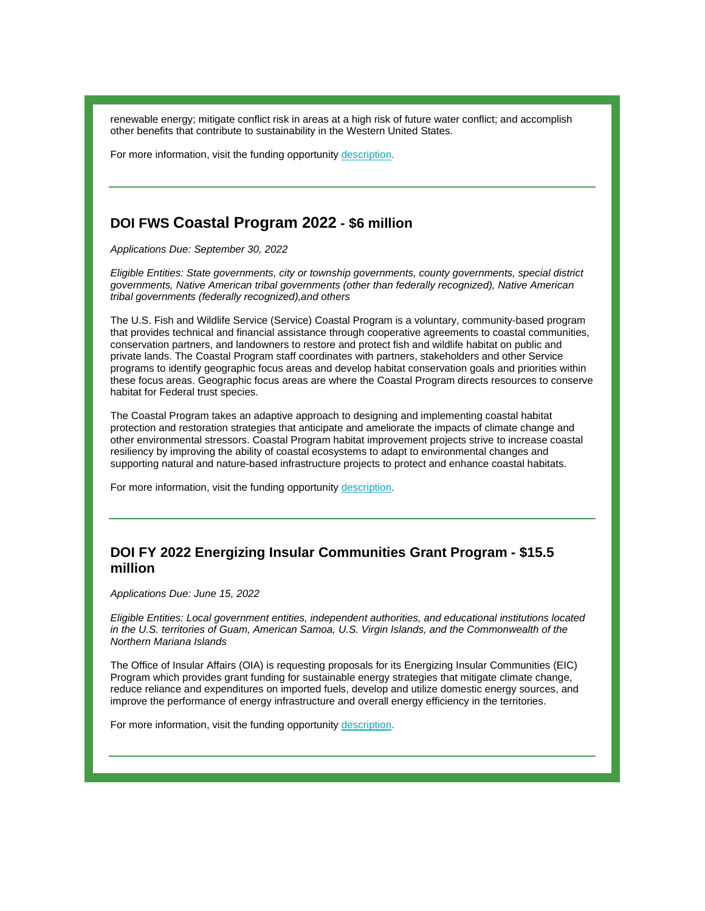renewable energy; mitigate conflict risk in areas at a high risk of future water conflict; and accomplish other benefits that contribute to sustainability in the Western United States.

For more information, visit the funding opportunit[y description.](https://r20.rs6.net/tn.jsp?f=001Czi55uih8Tk_vZmraMV531Jb7dR7c8IA6OhSpBF5SB2sK6mWyZIUVl3fe5FI-jpJwfGiAHbeGY1nNEgG5i2e8lhzzkVVzej9UV4byVzDknpl4UYL8l6yIqG1KeAfl5v7jgGAZx55zUarqLna26awacl-IofY5eZo0aLEF1dtd5-ErbcL0pD3aoikNj49dPjCYm3kvhaTu4ryneUMlpT3zg==&c=x6X-IuGxUcKk3IpT07XpuKISnaMPqVwi8At76TboAqeG9MhvbpPKNA==&ch=RagGNtJJzwMwh9FkHaIRSFXvachGWHVHlW9gKLFwMxbqLG1FgQ_9vg==)

# **DOI FWS Coastal Program 2022 - \$6 million**

*Applications Due: September 30, 2022*

*Eligible Entities: State governments, city or township governments, county governments, special district governments, Native American tribal governments (other than federally recognized), Native American tribal governments (federally recognized),and others*

The U.S. Fish and Wildlife Service (Service) Coastal Program is a voluntary, community-based program that provides technical and financial assistance through cooperative agreements to coastal communities, conservation partners, and landowners to restore and protect fish and wildlife habitat on public and private lands. The Coastal Program staff coordinates with partners, stakeholders and other Service programs to identify geographic focus areas and develop habitat conservation goals and priorities within these focus areas. Geographic focus areas are where the Coastal Program directs resources to conserve habitat for Federal trust species.

The Coastal Program takes an adaptive approach to designing and implementing coastal habitat protection and restoration strategies that anticipate and ameliorate the impacts of climate change and other environmental stressors. Coastal Program habitat improvement projects strive to increase coastal resiliency by improving the ability of coastal ecosystems to adapt to environmental changes and supporting natural and nature-based infrastructure projects to protect and enhance coastal habitats.

For more information, visit the funding opportunit[y description.](https://r20.rs6.net/tn.jsp?f=001Czi55uih8Tk_vZmraMV531Jb7dR7c8IA6OhSpBF5SB2sK6mWyZIUVk2ASulljecKB3jAGSwwEptwZNN5aQ6mxkf2QLNbKP_KwBj_1xjCsNwNbdc8qkhqFvQHLBaVW2zatjpklEy3P4DrzA05SVK-_mSeV838uH_mOPeMNm4UnkuSq8KMpBRLjEakJ8tGLWdIChy4WTpar5zZFI68ffZWIQ==&c=x6X-IuGxUcKk3IpT07XpuKISnaMPqVwi8At76TboAqeG9MhvbpPKNA==&ch=RagGNtJJzwMwh9FkHaIRSFXvachGWHVHlW9gKLFwMxbqLG1FgQ_9vg==)

# **DOI FY 2022 Energizing Insular Communities Grant Program - \$15.5 million**

*Applications Due: June 15, 2022*

*Eligible Entities: Local government entities, independent authorities, and educational institutions located in the U.S. territories of Guam, American Samoa, U.S. Virgin Islands, and the Commonwealth of the Northern Mariana Islands*

The Office of Insular Affairs (OIA) is requesting proposals for its Energizing Insular Communities (EIC) Program which provides grant funding for sustainable energy strategies that mitigate climate change, reduce reliance and expenditures on imported fuels, develop and utilize domestic energy sources, and improve the performance of energy infrastructure and overall energy efficiency in the territories.

For more information, visit the funding opportunit[y description.](https://r20.rs6.net/tn.jsp?f=001Czi55uih8Tk_vZmraMV531Jb7dR7c8IA6OhSpBF5SB2sK6mWyZIUVuhtdTr--tmuF8wJn7BAmi42g-iWDhs09i7l8MH914THrI5uPSNdLDTPRILGL736uO1l2dCyxnRdssw0ApN39MUyj9TwJpc_qqRxg9zlaybNokseV7EVXv9w0BspSf-zD4WRQDpGLYdylWiRKRVXMmRyqOfxkz1WIQ==&c=x6X-IuGxUcKk3IpT07XpuKISnaMPqVwi8At76TboAqeG9MhvbpPKNA==&ch=RagGNtJJzwMwh9FkHaIRSFXvachGWHVHlW9gKLFwMxbqLG1FgQ_9vg==)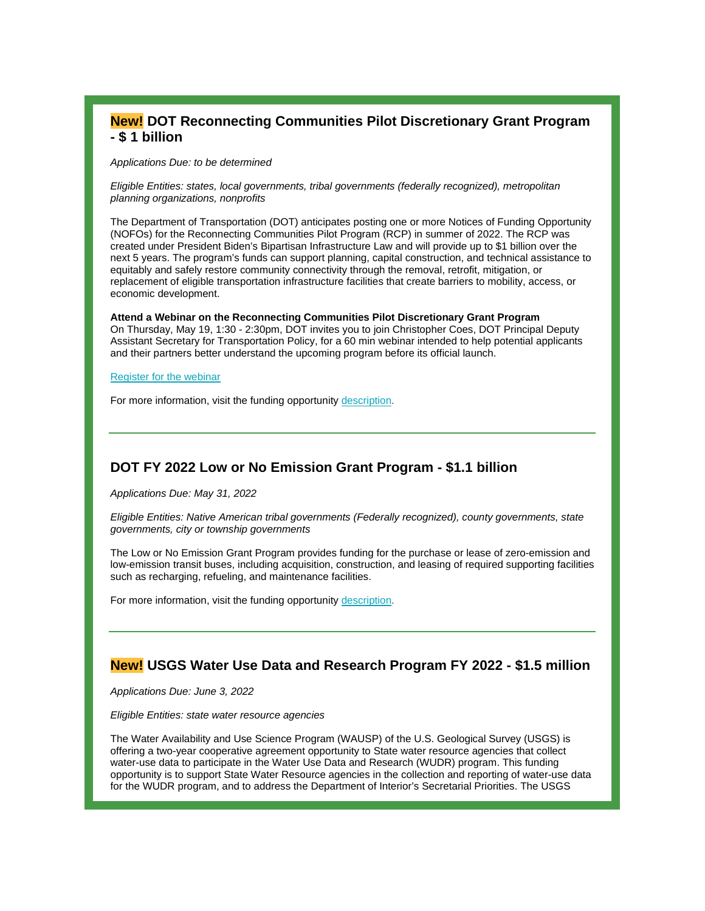# **New! DOT Reconnecting Communities Pilot Discretionary Grant Program - \$ 1 billion**

*Applications Due: to be determined*

*Eligible Entities: states, local governments, tribal governments (federally recognized), metropolitan planning organizations, nonprofits*

The Department of Transportation (DOT) anticipates posting one or more Notices of Funding Opportunity (NOFOs) for the Reconnecting Communities Pilot Program (RCP) in summer of 2022. The RCP was created under President Biden's Bipartisan Infrastructure Law and will provide up to \$1 billion over the next 5 years. The program's funds can support planning, capital construction, and technical assistance to equitably and safely restore community connectivity through the removal, retrofit, mitigation, or replacement of eligible transportation infrastructure facilities that create barriers to mobility, access, or economic development.

**Attend a Webinar on the Reconnecting Communities Pilot Discretionary Grant Program** On Thursday, May 19, 1:30 - 2:30pm, DOT invites you to join Christopher Coes, DOT Principal Deputy Assistant Secretary for Transportation Policy, for a 60 min webinar intended to help potential applicants and their partners better understand the upcoming program before its official launch.

#### [Register for the webinar](https://r20.rs6.net/tn.jsp?f=001Czi55uih8Tk_vZmraMV531Jb7dR7c8IA6OhSpBF5SB2sK6mWyZIUVl3fe5FI-jpJy1Cw1DKeN5YrYR6LTf4g9UdqbNnSRxe-wXdVXz7SGhPi6Ob-1YWruUotslXTSsrnqAa1oHOBQVPiFBSVxzHbOTRj1o1LfSRh-ZBEFCK8_y9zKmhc7-L8mNGvMngo-EA3WQaGULwLeWuMltFKd4Vx3w==&c=x6X-IuGxUcKk3IpT07XpuKISnaMPqVwi8At76TboAqeG9MhvbpPKNA==&ch=RagGNtJJzwMwh9FkHaIRSFXvachGWHVHlW9gKLFwMxbqLG1FgQ_9vg==)

For more information, visit the funding opportunit[y description.](https://r20.rs6.net/tn.jsp?f=001Czi55uih8Tk_vZmraMV531Jb7dR7c8IA6OhSpBF5SB2sK6mWyZIUVl3fe5FI-jpJ00P8nkHSEx6-HH5QKFc7ZdvKvSDhRwBGOcHyjv_X3KbjMl5-KboFTlVBAdFfKuzH7sFdu9rY0uPk5vK5m77rtBrn4BoArOHCpTZizKxeJaWdjf9LftNayMqO2JYYPaCHgT21xF3M-ZU=&c=x6X-IuGxUcKk3IpT07XpuKISnaMPqVwi8At76TboAqeG9MhvbpPKNA==&ch=RagGNtJJzwMwh9FkHaIRSFXvachGWHVHlW9gKLFwMxbqLG1FgQ_9vg==)

# **DOT FY 2022 Low or No Emission Grant Program - \$1.1 billion**

*Applications Due: May 31, 2022*

*Eligible Entities: Native American tribal governments (Federally recognized), county governments, state governments, city or township governments*

The Low or No Emission Grant Program provides funding for the purchase or lease of zero-emission and low-emission transit buses, including acquisition, construction, and leasing of required supporting facilities such as recharging, refueling, and maintenance facilities.

For more information, visit the funding opportunit[y description.](https://r20.rs6.net/tn.jsp?f=001Czi55uih8Tk_vZmraMV531Jb7dR7c8IA6OhSpBF5SB2sK6mWyZIUVoAgfU9ikHb6A6sgMGMhdFX_kuwHdSztr3jY88wFQsPceRT6QRNIEzuY3Fhsk4TvYy95mZ6DSvO5lF-7EegCrMdW3WZVD8EOeR27X_6FPXMc2l-2Ln6cJ6xSkq2aUQQvlZqTqtjiyRkq2jAsFZRixR0qIoJI5iEjvw==&c=x6X-IuGxUcKk3IpT07XpuKISnaMPqVwi8At76TboAqeG9MhvbpPKNA==&ch=RagGNtJJzwMwh9FkHaIRSFXvachGWHVHlW9gKLFwMxbqLG1FgQ_9vg==)

# **New! USGS Water Use Data and Research Program FY 2022 - \$1.5 million**

*Applications Due: June 3, 2022*

*Eligible Entities: state water resource agencies* 

The Water Availability and Use Science Program (WAUSP) of the U.S. Geological Survey (USGS) is offering a two-year cooperative agreement opportunity to State water resource agencies that collect water-use data to participate in the Water Use Data and Research (WUDR) program. This funding opportunity is to support State Water Resource agencies in the collection and reporting of water-use data for the WUDR program, and to address the Department of Interior's Secretarial Priorities. The USGS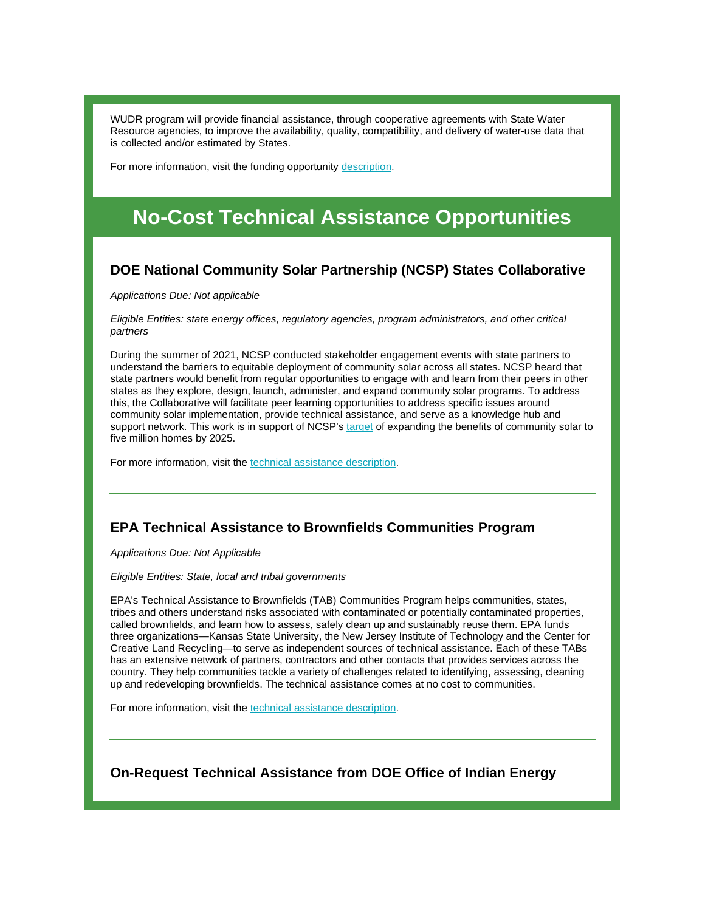WUDR program will provide financial assistance, through cooperative agreements with State Water Resource agencies, to improve the availability, quality, compatibility, and delivery of water-use data that is collected and/or estimated by States.

For more information, visit the funding opportunit[y description.](https://r20.rs6.net/tn.jsp?f=001Czi55uih8Tk_vZmraMV531Jb7dR7c8IA6OhSpBF5SB2sK6mWyZIUVl3fe5FI-jpJyTYOPc6qlsiJIc72-pvfSx8WJYam21GkgwNbySXp6jA1-rzbmekJ023cU8kOGYCiUnXgjxrSFHs7d7vrF_Lh-p3y9CkcQwHNSNJ-oGtcRKlVeQ-OpkLVLStLuWJ3Casqe9d1HYwHxdwkpNdS5SqxCQ==&c=x6X-IuGxUcKk3IpT07XpuKISnaMPqVwi8At76TboAqeG9MhvbpPKNA==&ch=RagGNtJJzwMwh9FkHaIRSFXvachGWHVHlW9gKLFwMxbqLG1FgQ_9vg==)

# **No-Cost Technical Assistance Opportunities**

### **DOE National Community Solar Partnership (NCSP) States Collaborative**

*Applications Due: Not applicable*

*Eligible Entities: state energy offices, regulatory agencies, program administrators, and other critical partners*

During the summer of 2021, NCSP conducted stakeholder engagement events with state partners to understand the barriers to equitable deployment of community solar across all states. NCSP heard that state partners would benefit from regular opportunities to engage with and learn from their peers in other states as they explore, design, launch, administer, and expand community solar programs. To address this, the Collaborative will facilitate peer learning opportunities to address specific issues around community solar implementation, provide technical assistance, and serve as a knowledge hub and support network. This work is in support of NCSP's [target](https://r20.rs6.net/tn.jsp?f=001Czi55uih8Tk_vZmraMV531Jb7dR7c8IA6OhSpBF5SB2sK6mWyZIUVoAgfU9ikHb62XfJHEOtsyhjCmE2yKjq5GWRFlWWL4g5HPnOjxlt06J7iQfGEGfIzgRIANkJ9z2xDFFxHojIOorP3gf5sMmJpYE4F3QyosS3uzJOBCewUBLhhK-reG6co1FiDN8t2wQykW0h_2uaiOU0t7HfJmry_2Th_bPObJoRYOgv4yPy6lwpyZU7NfiXrlDsOFiShaRzobn9hV-Lqok6ASIa0zdKdxMP1rIV0GhkC-zE6Z95siaJkksvsPGA6vaq5nhKIHpt9VyY0TQAolExuvbfnPjV2OaYbbUweJB5o1r-7KkUUKSELZyx7BRk0jQUVEXMqw0XPtyIhkLUn1OwLwYxgX8U7e7WQyey9iVFspl_89Za0W6pxS36VaWpgXTB1qwqAz0vHcnjUgEUw9xwdwiWbgDryyMgZBtYIcM_8psWe0LblkCEnob_JanziFRtWRxU8roesTdRdSuTCQ-hF5bkLyR9xkhWvpsjjkAQtaMexyyoPzMQKqLIXBozzMPcR3L4UYU4yZijDJQfetdSVUi4UNnwboQDC94vtdT1Sl-akkNjyzLmWlngXYmjTF4hSnad7k_2pllEcX2cKcFI0JYjD8OKEoXtOyKENQCBWW19UDfqlkzFrXlba1x4XD1m6v8Iv6WkUl9HcaOUm9hMSmHGump2sN-3Qmifi8NnlQsPyX6vS19RE_9HiW3nHx25Nw6Rp3ugzFgruuV_4j11RwjJ-GkNlzRQOKFoO5Z6bSlJYvbCGpGhNaymo2rd_Mw2r9GkaO4eO-gYr0U2iYu3GwRgowWWrul8hdlt1mxHHApxGhnAfIpXAQ-4GBdjeC5i51Xf7Z-Wdm--0TBxQbgTbari_TzN1zYHpPzVEO7tRmtdROupw3rrFnBRnw3WLePWF6IaxADTnKnqMlZAP6tYZ7L3-NKE-eJZy7tuPA4omSczFw4u1vnmmC7q1XF_CrvUaMM4odv49CPNLP0rzWDD82yGQilEwtlIgkMJdP_WkK7ukf_vqNh_1mu5tU-tAgTQW9YgXOXNZAVGFPJLZinlJ9xlfY9jtmHd5nJTEHVHIvYmxdzzGks=&c=x6X-IuGxUcKk3IpT07XpuKISnaMPqVwi8At76TboAqeG9MhvbpPKNA==&ch=RagGNtJJzwMwh9FkHaIRSFXvachGWHVHlW9gKLFwMxbqLG1FgQ_9vg==) of expanding the benefits of community solar to five million homes by 2025.

For more information, visit the [technical assistance description.](https://r20.rs6.net/tn.jsp?f=001Czi55uih8Tk_vZmraMV531Jb7dR7c8IA6OhSpBF5SB2sK6mWyZIUVoAgfU9ikHb661LCxsZlaoCLwkTpAyXouQHMcsyQMF2WrxZ6RHRDdua7ypzQWv4ocH98pupXM0khhodkqXrlhLXDs54rZ0_GfvUdyIs87SiCii0LAqDpHsM7Sy94pYDu-SuwA6O6cfZX&c=x6X-IuGxUcKk3IpT07XpuKISnaMPqVwi8At76TboAqeG9MhvbpPKNA==&ch=RagGNtJJzwMwh9FkHaIRSFXvachGWHVHlW9gKLFwMxbqLG1FgQ_9vg==)

# **EPA Technical Assistance to Brownfields Communities Program**

*Applications Due: Not Applicable*

*Eligible Entities: State, local and tribal governments* 

EPA's Technical Assistance to Brownfields (TAB) Communities Program helps communities, states, tribes and others understand risks associated with contaminated or potentially contaminated properties, called brownfields, and learn how to assess, safely clean up and sustainably reuse them. EPA funds three organizations—Kansas State University, the New Jersey Institute of Technology and the Center for Creative Land Recycling—to serve as independent sources of technical assistance. Each of these TABs has an extensive network of partners, contractors and other contacts that provides services across the country. They help communities tackle a variety of challenges related to identifying, assessing, cleaning up and redeveloping brownfields. The technical assistance comes at no cost to communities.

For more information, visit the [technical assistance description.](https://r20.rs6.net/tn.jsp?f=001Czi55uih8Tk_vZmraMV531Jb7dR7c8IA6OhSpBF5SB2sK6mWyZIUVsGwTdAjUO_VhlI8fBZnn4nzUCuQjRNr30t0AiGRjCJaV_aa-IDg6lmjtunM0gvjej3WtIOpIgMxLl_g5BcZ7oDK5Z6KLaRhWdE5gqkrD0zFJqF1BIGCqnWtJUApF7rqa_yaFP9KQP1VlSIbazPEpAQ4UfAfDRu3xK8LPBcScRy8LzvwygCBWGs=&c=x6X-IuGxUcKk3IpT07XpuKISnaMPqVwi8At76TboAqeG9MhvbpPKNA==&ch=RagGNtJJzwMwh9FkHaIRSFXvachGWHVHlW9gKLFwMxbqLG1FgQ_9vg==)

**On-Request Technical Assistance from DOE Office of Indian Energy**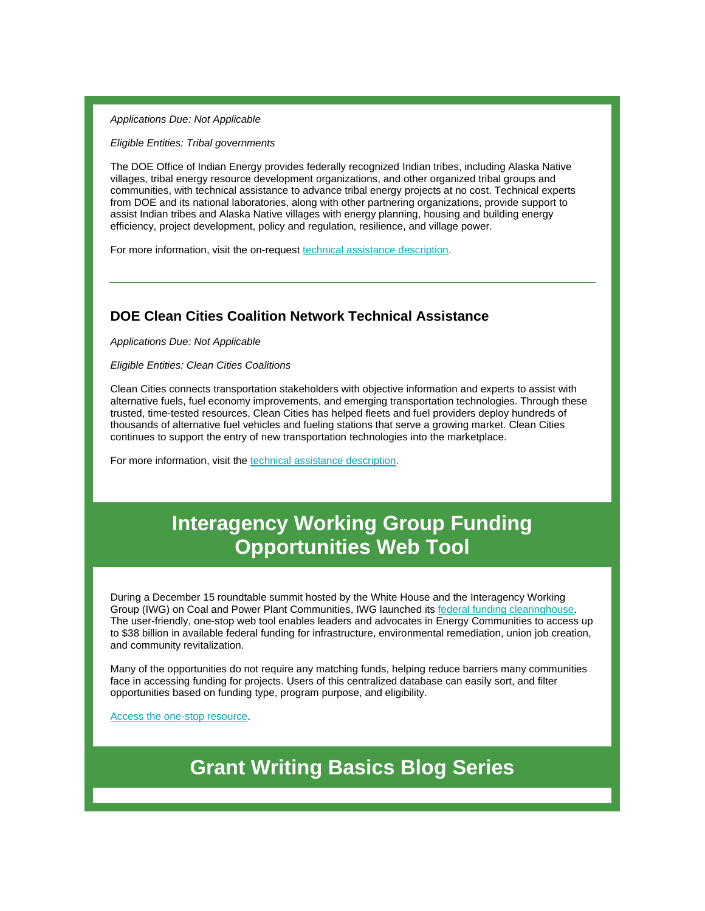#### *Applications Due: Not Applicable*

*Eligible Entities: Tribal governments*

The DOE Office of Indian Energy provides federally recognized Indian tribes, including Alaska Native villages, tribal energy resource development organizations, and other organized tribal groups and communities, with technical assistance to advance tribal energy projects at no cost. Technical experts from DOE and its national laboratories, along with other partnering organizations, provide support to assist Indian tribes and Alaska Native villages with energy planning, housing and building energy efficiency, project development, policy and regulation, resilience, and village power.

For more information, visit the on-request [technical assistance description.](https://r20.rs6.net/tn.jsp?f=001Czi55uih8Tk_vZmraMV531Jb7dR7c8IA6OhSpBF5SB2sK6mWyZIUVh6IPbMKlIWCwNV05ufLnfLLhKd6MKBPNznfrZS1ukPnUm6nG4tn2WuM3bYh2o-Utvo8AcVBjk9RVR8fQPXKrY0fycMLRNFF9CF6Ads1PiKdC_Px1ObaGtUrs0JoDYgQzLjTkbF0NEAb&c=x6X-IuGxUcKk3IpT07XpuKISnaMPqVwi8At76TboAqeG9MhvbpPKNA==&ch=RagGNtJJzwMwh9FkHaIRSFXvachGWHVHlW9gKLFwMxbqLG1FgQ_9vg==)

# **DOE Clean Cities Coalition Network Technical Assistance**

*Applications Due: Not Applicable*

*Eligible Entities: Clean Cities Coalitions* 

Clean Cities connects transportation stakeholders with objective information and experts to assist with alternative fuels, fuel economy improvements, and emerging transportation technologies. Through these trusted, time-tested resources, Clean Cities has helped fleets and fuel providers deploy hundreds of thousands of alternative fuel vehicles and fueling stations that serve a growing market. Clean Cities continues to support the entry of new transportation technologies into the marketplace.

For more information, visit the [technical assistance description.](https://r20.rs6.net/tn.jsp?f=001Czi55uih8Tk_vZmraMV531Jb7dR7c8IA6OhSpBF5SB2sK6mWyZIUVjnQY9AB6YE7A9xZu-ABM2GRD3-O0XvodWDmmdMzes-R-olAqhcpUpVjDattfNcJhpcew0CoBxxAQL2DkZmilsIPG9_06MCGKRjnk09qkXgrx6pi__enq9-xH0Enz0u2NA==&c=x6X-IuGxUcKk3IpT07XpuKISnaMPqVwi8At76TboAqeG9MhvbpPKNA==&ch=RagGNtJJzwMwh9FkHaIRSFXvachGWHVHlW9gKLFwMxbqLG1FgQ_9vg==)

# **Interagency Working Group Funding Opportunities Web Tool**

During a December 15 roundtable summit hosted by the White House and the Interagency Working Group (IWG) on Coal and Power Plant Communities, IWG launched it[s federal funding clearinghouse.](https://r20.rs6.net/tn.jsp?f=001Czi55uih8Tk_vZmraMV531Jb7dR7c8IA6OhSpBF5SB2sK6mWyZIUVlvU3APW0a-445lU6B7JcBoJYpLYA3CzCmPeJN_-WKSr3hye_U2orlPEEE9wSRx8idDcNsZ5ocf-gxAAjkldK-TDzmHo3USaqR2ySU35agnlcdHr1iRxOELSAoqKZ6VdwLGxRpDxPlucW_frFseZtHAJ3d_u34eFk2GjeUrPE1qDHewwqRR6ld05r8R4nDR_kvIYfwUZiuPZCmS-7TKrBnzqUD28hhr41fiDd14BTe_o1BJsxQJi7_stRQ1TEphW9rV7ub4_m57KMQIQfVyMILJZDrTRKHvR6kjTuQzrFVmtwxtL5NBxSstNflLmW00SdDP73PHKUFr259aeRLy1kLALYDbmiOGLyV7FL7Wi_0pEdrh7_2aPTUPD4jxtsz9yRZKk6ZgLSDfGlnxI1Ne9g9Bw8zER-_S2SfBvBVBpMsVujBylsZmxN0eEAIqGRpDD45L6jgPWMeV1VCcPxGPQSX-IRdpi8TBNYkMY0wfT-iHvAOp4M19jT1UePBdDX-n8EoSuEECSzqFrC4Y2BKDxhxDmSK3W00x9pqM-m5J3F6Ar0er_Mr0O0oq2E84q1jPtIeXPNBRzchGnp8i1g9pwdiZbT2xXaI4lZ05o5zU3F25VzXYRXx0Rqv4EGpbsXd6kM0IQMZhemcE1oas7qwjslk77ZChhpucWjh6CZWdDLU_j9qcLUKBqkOpMusBJpfx-eOuy1ZEH5T6bV3ZFM8cwjno9htgrLucY_B1Fv5NRFJ1fUbeYNAjONDgR2zbsa43JkPdYNEFTaDy4elVYp5Qm6nWC6t1bR3iB3vndH5E4EeK-s-omd4QjwrJ8zVUA1DmxwsM7vG8041tAZJrMjlKxG-aY1mzfXCohKfurK-X0h9WrjFIe17YNTS5mu1trHoCKXT81FKNE3t-Uzl_GC2x_8B-y52hejWbc6q6IkRjpR2E6Yg0a8H4vEQMiNv8TdRTR8a666Xf2UrnWVkaUBRjBnlMX6r15A-maEgaX2ee-GHQr3_Nanxi7n6kffQsvIakcD4OrvtIecpyU&c=x6X-IuGxUcKk3IpT07XpuKISnaMPqVwi8At76TboAqeG9MhvbpPKNA==&ch=RagGNtJJzwMwh9FkHaIRSFXvachGWHVHlW9gKLFwMxbqLG1FgQ_9vg==) The user-friendly, one-stop web tool enables leaders and advocates in Energy Communities to access up to \$38 billion in available federal funding for infrastructure, environmental remediation, union job creation, and community revitalization.

Many of the opportunities do not require any matching funds, helping reduce barriers many communities face in accessing funding for projects. Users of this centralized database can easily sort, and filter opportunities based on funding type, program purpose, and eligibility.

[Access the one-stop resource.](https://r20.rs6.net/tn.jsp?f=001Czi55uih8Tk_vZmraMV531Jb7dR7c8IA6OhSpBF5SB2sK6mWyZIUVlvU3APW0a-4sqaWnFKXWXzLJ72bQyLhU_FH3-j_Pojyb8JCwiMqm0sR81s5HWW3SprKHMblFHuoqJD6o_RTEtmZ0PQ_rR2qbR_XXQInQ_HsJNZZw_sdApTUsVnYJZ9PuY9HzH1k5ghhwHMwYAa70sVKsyJwEMq9QAcL-9i0b855uyrUo1uRJ5mAlWYHRbOYbVnsYb-iV3fg6ktynGNa-YqYRuB5XOjdfCgEIaZwkGssFXNk_2r_oBQuXdXR9WX6Jc51N6I6WC5L1uXthnIY0EbRF7hG9-U_5igmgvuMI9rA4RVkrhdxXRPR4b4QvrYWVjT-AlpUUrg1BHea17wMcUL96jrbtGWl0LC3Y4u-FPq9E9T8F8P-v2-DLZiOhOWdgibkW_oVN_iDUcVFSICk_HhMHuASG4qXpyaA9qsJNuBhwHHCdEP_wzXzFq6sKpFBsl9PN94tOEhO9vgtuqv3rZaC4Sik7s7sOFv0jCa1oVUTP4EevCteOArlVkjAe0QkVv2QJ4oAZntjwWPj9plr_nqfuA_jH0rlpA4420dq_eB1a396WUQ2z_8qv27OQhDdpETs-Ji7aS3gLRQ6L5SgmFnweiaRuV0w366PKeguDB8P1RjZ69xHQ_SqHD9foeHLNyfi1qATzS6T9yHrl80tRtrcBwZIxdCoUIj1u2jXhgr3-RuzVbgjmDW2XOn5q72cwa6xnsfs9foUTtUiU2bqsKGpOTlGlrGuWIbbr-BqKS2iCJozQF7GjzuiJa76e4e83bq-jcos_-yN3HXTOe4uFU0Jc8-4kyh66xrNQxZ6pLbgV_hH2tjS1gqrumZWYburu7WoFV8IMLP0PWyIQM_6hcsudFnwKhK9ouEZ1VKoeH4nn-EnXfhlQ002Ju9g1GQ7GOSmX_B27CW9GwGcO9nftTDWVktKJWgEV9ALruMTaJT20mk_By57Bk99AxSLGeJxhG8pEhd-9izS6EayGomNKUOpkuqvWPh-4JSPbGFFNDtguGyU0HuBG-wSsHB-CKw_uaYHEE6SeActY_7V6yVVHD9fKsRFINyiGXUGrKyTg-LhE-9AvhSuOLvzhLlo3S7IJRNgXIp9eyP7NN_zF-ym72mFrh5I7-l7taZnTVRmSrQqYxZH5295myGtA-YVLR6g9_lTGjscjED0iBx-RHo4jaUo54PX5v6gyaABE3IpXUWyvFbjL1J_P1_WxPZJill_hp1Ubmgc2hcvbRZRrMZf5ySmsQNjCeCJLND3mhQv-gASPHgI8XsAmQKuNENHBLhKcJj1W8fK8Ld_&c=x6X-IuGxUcKk3IpT07XpuKISnaMPqVwi8At76TboAqeG9MhvbpPKNA==&ch=RagGNtJJzwMwh9FkHaIRSFXvachGWHVHlW9gKLFwMxbqLG1FgQ_9vg==)

**[Grant Writing Basics Blog Series](https://r20.rs6.net/tn.jsp?f=001Czi55uih8Tk_vZmraMV531Jb7dR7c8IA6OhSpBF5SB2sK6mWyZIUVh6IPbMKlIWCRgjP9uq6S-8hbn587axFd-MKlKAeod590CPEq2nBifoXdvtMMFE3WZ9UhP1-b74ra1RaVwm2GphozfeYpEO8-i3H9oXSeDsSC_2z7qa6OjjXtqhtOoAVZHF_-xKbBUDcGhOO32xCCtWB2dXhZuGngg==&c=x6X-IuGxUcKk3IpT07XpuKISnaMPqVwi8At76TboAqeG9MhvbpPKNA==&ch=RagGNtJJzwMwh9FkHaIRSFXvachGWHVHlW9gKLFwMxbqLG1FgQ_9vg==)**